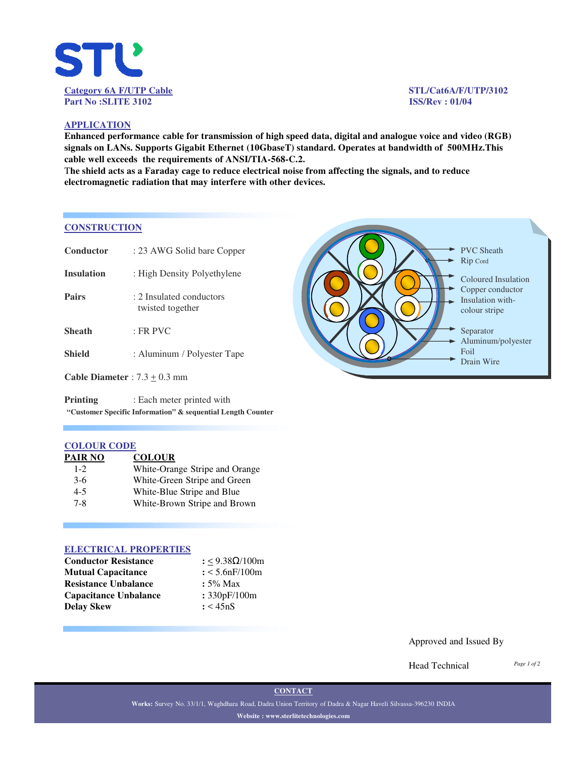

### **APPLICATION**

**Enhanced performance cable for transmission of high speed data, digital and analogue voice and video (RGB) signals on LANs. Supports Gigabit Ethernet (10GbaseT) standard. Operates at bandwidth of 500MHz.This cable well exceeds the requirements of ANSI/TIA-568-C.2.**

T**he shield acts as a Faraday cage to reduce electrical noise from affecting the signals, and to reduce electromagnetic radiation that may interfere with other devices.**

### **CONSTRUCTION**

| Conductor                       | : 23 AWG Solid bare Copper                   |  |  |  |  |
|---------------------------------|----------------------------------------------|--|--|--|--|
| <b>Insulation</b>               | : High Density Polyethylene                  |  |  |  |  |
| <b>Pairs</b>                    | : 2 Insulated conductors<br>twisted together |  |  |  |  |
| <b>Sheath</b>                   | $:$ FR PVC                                   |  |  |  |  |
| <b>Shield</b>                   | : Aluminum / Polyester Tape                  |  |  |  |  |
| Cable Diameter : $7.3 + 0.3$ mm |                                              |  |  |  |  |
|                                 |                                              |  |  |  |  |

**Printing** : Each meter printed with **"Customer Specific Information" & sequential Length Counter**

### **COLOUR CODE**

| PAIR NO | <b>COLOUR</b>                  |
|---------|--------------------------------|
| $1 - 2$ | White-Orange Stripe and Orange |
| $3-6$   | White-Green Stripe and Green   |
| $4 - 5$ | White-Blue Stripe and Blue     |
| $7 - 8$ | White-Brown Stripe and Brown   |

### **ELECTRICAL PROPERTIES**

| <b>Conductor Resistance</b>  | $: < 9.38 \Omega / 100$ m |  |  |  |
|------------------------------|---------------------------|--|--|--|
| <b>Mutual Capacitance</b>    | $: < 5.6$ n $F/100$ m     |  |  |  |
| <b>Resistance Unbalance</b>  | $: 5\%$ Max               |  |  |  |
| <b>Capacitance Unbalance</b> | : 330pF/100m              |  |  |  |
| Delav Skew                   | : < 45nS                  |  |  |  |



### Approved and Issued By

Head Technical

*Page 1 of 2*

**CONTACT**

**Works:** Survey No. 33/1/1, Waghdhara Road, Dadra Union Territory of Dadra & Nagar Haveli Silvassa-396230 INDIA **Website : www.sterlitetechnologies.com**